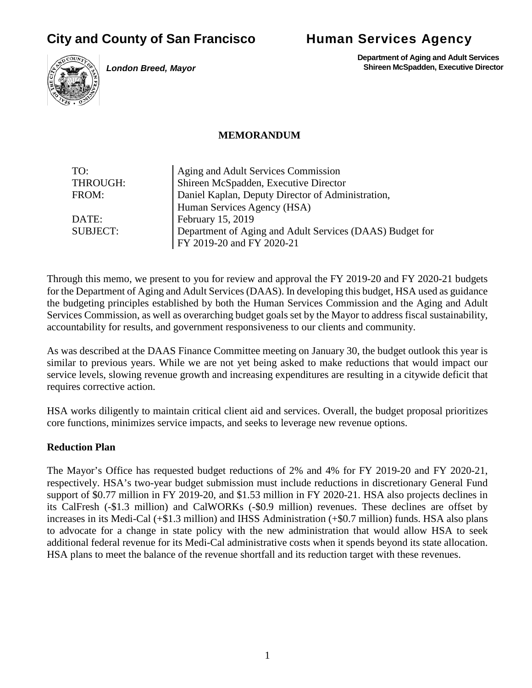# **City and County of San Francisco Human Services Agency**

 **Department of Aging and Adult Services Shireen McSpadden, Executive Director**

*London Breed, Mayor*

#### **MEMORANDUM**

| TO:             | Aging and Adult Services Commission                      |
|-----------------|----------------------------------------------------------|
| THROUGH:        | Shireen McSpadden, Executive Director                    |
| FROM:           | Daniel Kaplan, Deputy Director of Administration,        |
|                 | Human Services Agency (HSA)                              |
| DATE:           | February 15, 2019                                        |
| <b>SUBJECT:</b> | Department of Aging and Adult Services (DAAS) Budget for |
|                 | FY 2019-20 and FY 2020-21                                |

Through this memo, we present to you for review and approval the FY 2019-20 and FY 2020-21 budgets for the Department of Aging and Adult Services (DAAS). In developing this budget, HSA used as guidance the budgeting principles established by both the Human Services Commission and the Aging and Adult Services Commission, as well as overarching budget goals set by the Mayor to address fiscal sustainability, accountability for results, and government responsiveness to our clients and community.

As was described at the DAAS Finance Committee meeting on January 30, the budget outlook this year is similar to previous years. While we are not yet being asked to make reductions that would impact our service levels, slowing revenue growth and increasing expenditures are resulting in a citywide deficit that requires corrective action.

HSA works diligently to maintain critical client aid and services. Overall, the budget proposal prioritizes core functions, minimizes service impacts, and seeks to leverage new revenue options.

## **Reduction Plan**

The Mayor's Office has requested budget reductions of 2% and 4% for FY 2019-20 and FY 2020-21, respectively. HSA's two-year budget submission must include reductions in discretionary General Fund support of \$0.77 million in FY 2019-20, and \$1.53 million in FY 2020-21. HSA also projects declines in its CalFresh (-\$1.3 million) and CalWORKs (-\$0.9 million) revenues. These declines are offset by increases in its Medi-Cal (+\$1.3 million) and IHSS Administration (+\$0.7 million) funds. HSA also plans to advocate for a change in state policy with the new administration that would allow HSA to seek additional federal revenue for its Medi-Cal administrative costs when it spends beyond its state allocation. HSA plans to meet the balance of the revenue shortfall and its reduction target with these revenues.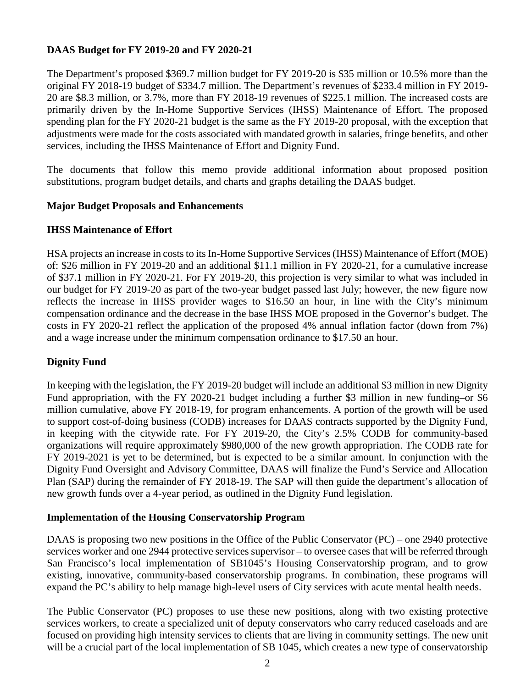## **DAAS Budget for FY 2019-20 and FY 2020-21**

The Department's proposed \$369.7 million budget for FY 2019-20 is \$35 million or 10.5% more than the original FY 2018-19 budget of \$334.7 million. The Department's revenues of \$233.4 million in FY 2019- 20 are \$8.3 million, or 3.7%, more than FY 2018-19 revenues of \$225.1 million. The increased costs are primarily driven by the In-Home Supportive Services (IHSS) Maintenance of Effort. The proposed spending plan for the FY 2020-21 budget is the same as the FY 2019-20 proposal, with the exception that adjustments were made for the costs associated with mandated growth in salaries, fringe benefits, and other services, including the IHSS Maintenance of Effort and Dignity Fund.

The documents that follow this memo provide additional information about proposed position substitutions, program budget details, and charts and graphs detailing the DAAS budget.

#### **Major Budget Proposals and Enhancements**

#### **IHSS Maintenance of Effort**

HSA projects an increase in costs to its In-Home Supportive Services (IHSS) Maintenance of Effort (MOE) of: \$26 million in FY 2019-20 and an additional \$11.1 million in FY 2020-21, for a cumulative increase of \$37.1 million in FY 2020-21. For FY 2019-20, this projection is very similar to what was included in our budget for FY 2019-20 as part of the two-year budget passed last July; however, the new figure now reflects the increase in IHSS provider wages to \$16.50 an hour, in line with the City's minimum compensation ordinance and the decrease in the base IHSS MOE proposed in the Governor's budget. The costs in FY 2020-21 reflect the application of the proposed 4% annual inflation factor (down from 7%) and a wage increase under the minimum compensation ordinance to \$17.50 an hour.

## **Dignity Fund**

In keeping with the legislation, the FY 2019-20 budget will include an additional \$3 million in new Dignity Fund appropriation, with the FY 2020-21 budget including a further \$3 million in new funding–or \$6 million cumulative, above FY 2018-19, for program enhancements. A portion of the growth will be used to support cost-of-doing business (CODB) increases for DAAS contracts supported by the Dignity Fund, in keeping with the citywide rate. For FY 2019-20, the City's 2.5% CODB for community-based organizations will require approximately \$980,000 of the new growth appropriation. The CODB rate for FY 2019-2021 is yet to be determined, but is expected to be a similar amount. In conjunction with the Dignity Fund Oversight and Advisory Committee, DAAS will finalize the Fund's Service and Allocation Plan (SAP) during the remainder of FY 2018-19. The SAP will then guide the department's allocation of new growth funds over a 4-year period, as outlined in the Dignity Fund legislation.

#### **Implementation of the Housing Conservatorship Program**

DAAS is proposing two new positions in the Office of the Public Conservator (PC) – one 2940 protective services worker and one 2944 protective services supervisor – to oversee cases that will be referred through San Francisco's local implementation of SB1045's Housing Conservatorship program, and to grow existing, innovative, community-based conservatorship programs. In combination, these programs will expand the PC's ability to help manage high-level users of City services with acute mental health needs.

The Public Conservator (PC) proposes to use these new positions, along with two existing protective services workers, to create a specialized unit of deputy conservators who carry reduced caseloads and are focused on providing high intensity services to clients that are living in community settings. The new unit will be a crucial part of the local implementation of SB 1045, which creates a new type of conservatorship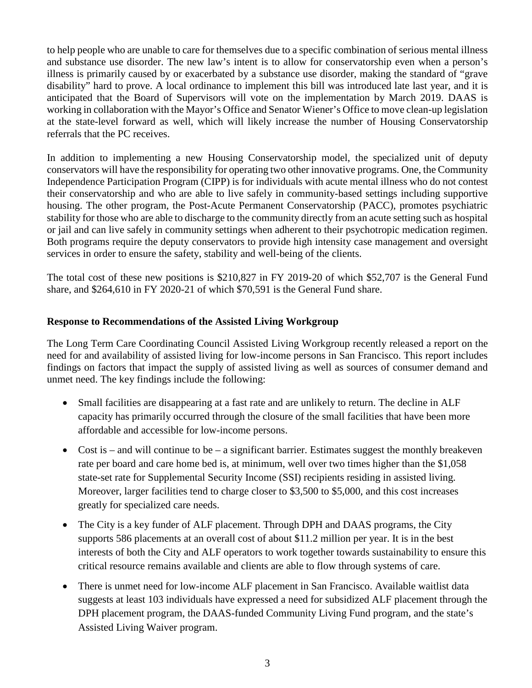to help people who are unable to care for themselves due to a specific combination of serious mental illness and substance use disorder. The new law's intent is to allow for conservatorship even when a person's illness is primarily caused by or exacerbated by a substance use disorder, making the standard of "grave disability" hard to prove. A local ordinance to implement this bill was introduced late last year, and it is anticipated that the Board of Supervisors will vote on the implementation by March 2019. DAAS is working in collaboration with the Mayor's Office and Senator Wiener's Office to move clean-up legislation at the state-level forward as well, which will likely increase the number of Housing Conservatorship referrals that the PC receives.

In addition to implementing a new Housing Conservatorship model, the specialized unit of deputy conservators will have the responsibility for operating two other innovative programs. One, the Community Independence Participation Program (CIPP) is for individuals with acute mental illness who do not contest their conservatorship and who are able to live safely in community-based settings including supportive housing. The other program, the Post-Acute Permanent Conservatorship (PACC), promotes psychiatric stability for those who are able to discharge to the community directly from an acute setting such as hospital or jail and can live safely in community settings when adherent to their psychotropic medication regimen. Both programs require the deputy conservators to provide high intensity case management and oversight services in order to ensure the safety, stability and well-being of the clients.

The total cost of these new positions is \$210,827 in FY 2019-20 of which \$52,707 is the General Fund share, and \$264,610 in FY 2020-21 of which \$70,591 is the General Fund share.

## **Response to Recommendations of the Assisted Living Workgroup**

The Long Term Care Coordinating Council Assisted Living Workgroup recently released a report on the need for and availability of assisted living for low-income persons in San Francisco. This report includes findings on factors that impact the supply of assisted living as well as sources of consumer demand and unmet need. The key findings include the following:

- Small facilities are disappearing at a fast rate and are unlikely to return. The decline in ALF capacity has primarily occurred through the closure of the small facilities that have been more affordable and accessible for low-income persons.
- Cost is and will continue to be a significant barrier. Estimates suggest the monthly breakeven rate per board and care home bed is, at minimum, well over two times higher than the \$1,058 state-set rate for Supplemental Security Income (SSI) recipients residing in assisted living. Moreover, larger facilities tend to charge closer to \$3,500 to \$5,000, and this cost increases greatly for specialized care needs.
- The City is a key funder of ALF placement. Through DPH and DAAS programs, the City supports 586 placements at an overall cost of about \$11.2 million per year. It is in the best interests of both the City and ALF operators to work together towards sustainability to ensure this critical resource remains available and clients are able to flow through systems of care.
- There is unmet need for low-income ALF placement in San Francisco. Available waitlist data suggests at least 103 individuals have expressed a need for subsidized ALF placement through the DPH placement program, the DAAS-funded Community Living Fund program, and the state's Assisted Living Waiver program.